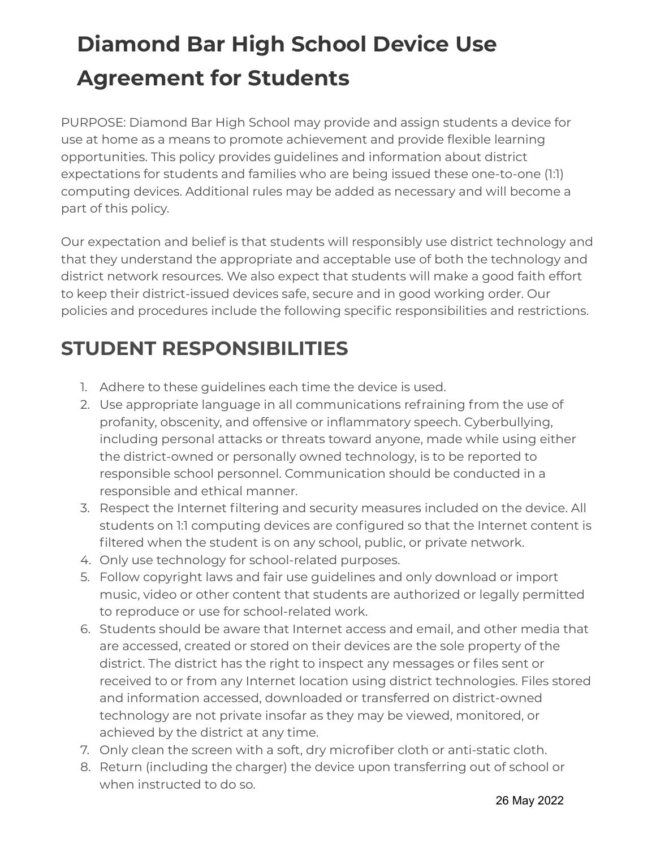# **Diamond Bar High School Device Use Agreement for Students**

PURPOSE: Diamond Bar High School may provide and assign students a device for use at home as a means to promote achievement and provide flexible learning opportunities. This policy provides guidelines and information about district expectations for students and families who are being issued these one-to-one (1:1) computing devices. Additional rules may be added as necessary and will become a part of this policy.

Our expectation and belief is that students will responsibly use district technology and that they understand the appropriate and acceptable use of both the technology and district network resources. We also expect that students will make a good faith effort to keep their district-issued devices safe, secure and in good working order. Our policies and procedures include the following specific responsibilities and restrictions.

## **STUDENT RESPONSIBILITIES**

- 1. Adhere to these guidelines each time the device is used.
- 2. Use appropriate language in all communications refraining from the use of profanity, obscenity, and offensive or inflammatory speech. Cyberbullying, including personal attacks or threats toward anyone, made while using either the district-owned or personally owned technology, is to be reported to responsible school personnel. Communication should be conducted in a responsible and ethical manner.
- 3. Respect the Internet filtering and security measures included on the device. All students on 1:1 computing devices are configured so that the Internet content is filtered when the student is on any school, public, or private network.
- 4. Only use technology for school-related purposes.
- 5. Follow copyright laws and fair use guidelines and only download or import music, video or other content that students are authorized or legally permitted to reproduce or use for school-related work.
- 6. Students should be aware that Internet access and email, and other media that are accessed, created or stored on their devices are the sole property of the district. The district has the right to inspect any messages or files sent or received to or from any Internet location using district technologies. Files stored and information accessed, downloaded or transferred on district-owned technology are not private insofar as they may be viewed, monitored, or achieved by the district at any time.
- 7. Only clean the screen with a soft, dry microfiber cloth or anti-static cloth.
- 8. Return (including the charger) the device upon transferring out of school or when instructed to do so.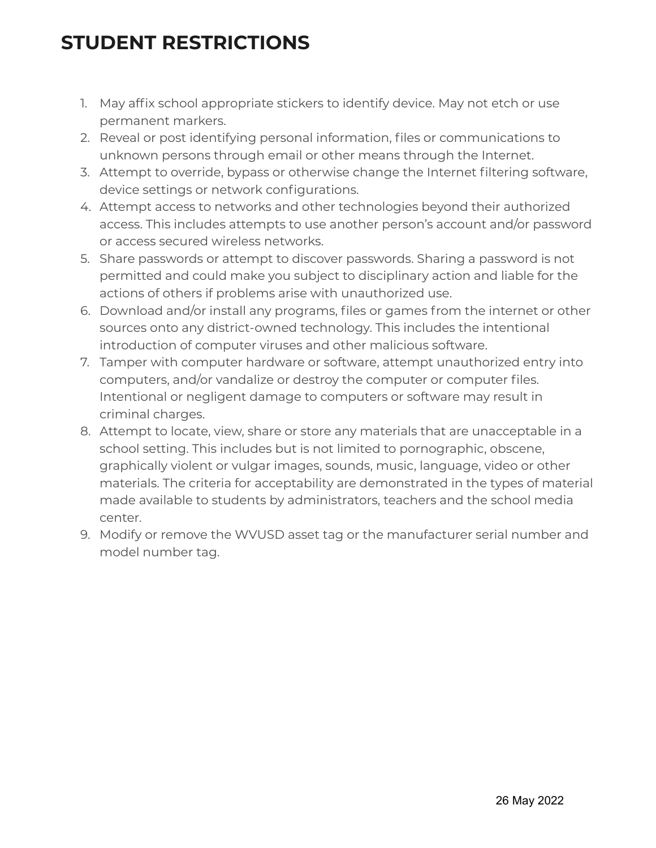## **STUDENT RESTRICTIONS**

- 1. May affix school appropriate stickers to identify device. May not etch or use permanent markers.
- 2. Reveal or post identifying personal information, files or communications to unknown persons through email or other means through the Internet.
- 3. Attempt to override, bypass or otherwise change the Internet filtering software, device settings or network configurations.
- 4. Attempt access to networks and other technologies beyond their authorized access. This includes attempts to use another person's account and/or password or access secured wireless networks.
- 5. Share passwords or attempt to discover passwords. Sharing a password is not permitted and could make you subject to disciplinary action and liable for the actions of others if problems arise with unauthorized use.
- 6. Download and/or install any programs, files or games from the internet or other sources onto any district-owned technology. This includes the intentional introduction of computer viruses and other malicious software.
- 7. Tamper with computer hardware or software, attempt unauthorized entry into computers, and/or vandalize or destroy the computer or computer files. Intentional or negligent damage to computers or software may result in criminal charges.
- 8. Attempt to locate, view, share or store any materials that are unacceptable in a school setting. This includes but is not limited to pornographic, obscene, graphically violent or vulgar images, sounds, music, language, video or other materials. The criteria for acceptability are demonstrated in the types of material made available to students by administrators, teachers and the school media center.
- 9. Modify or remove the WVUSD asset tag or the manufacturer serial number and model number tag.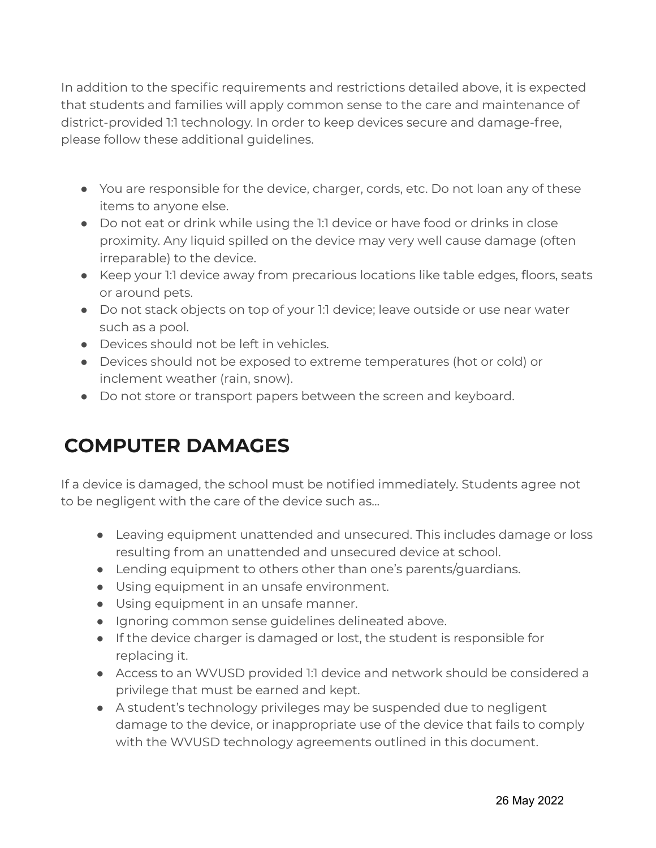In addition to the specific requirements and restrictions detailed above, it is expected that students and families will apply common sense to the care and maintenance of district-provided 1:1 technology. In order to keep devices secure and damage-free, please follow these additional guidelines.

- You are responsible for the device, charger, cords, etc. Do not loan any of these items to anyone else.
- Do not eat or drink while using the 1:1 device or have food or drinks in close proximity. Any liquid spilled on the device may very well cause damage (often irreparable) to the device.
- Keep your 1:1 device away from precarious locations like table edges, floors, seats or around pets.
- Do not stack objects on top of your 1:1 device; leave outside or use near water such as a pool.
- Devices should not be left in vehicles.
- Devices should not be exposed to extreme temperatures (hot or cold) or inclement weather (rain, snow).
- Do not store or transport papers between the screen and keyboard.

## **COMPUTER DAMAGES**

If a device is damaged, the school must be notified immediately. Students agree not to be negligent with the care of the device such as...

- Leaving equipment unattended and unsecured. This includes damage or loss resulting from an unattended and unsecured device at school.
- Lending equipment to others other than one's parents/guardians.
- Using equipment in an unsafe environment.
- Using equipment in an unsafe manner.
- Ignoring common sense guidelines delineated above.
- If the device charger is damaged or lost, the student is responsible for replacing it.
- Access to an WVUSD provided 1:1 device and network should be considered a privilege that must be earned and kept.
- A student's technology privileges may be suspended due to negligent damage to the device, or inappropriate use of the device that fails to comply with the WVUSD technology agreements outlined in this document.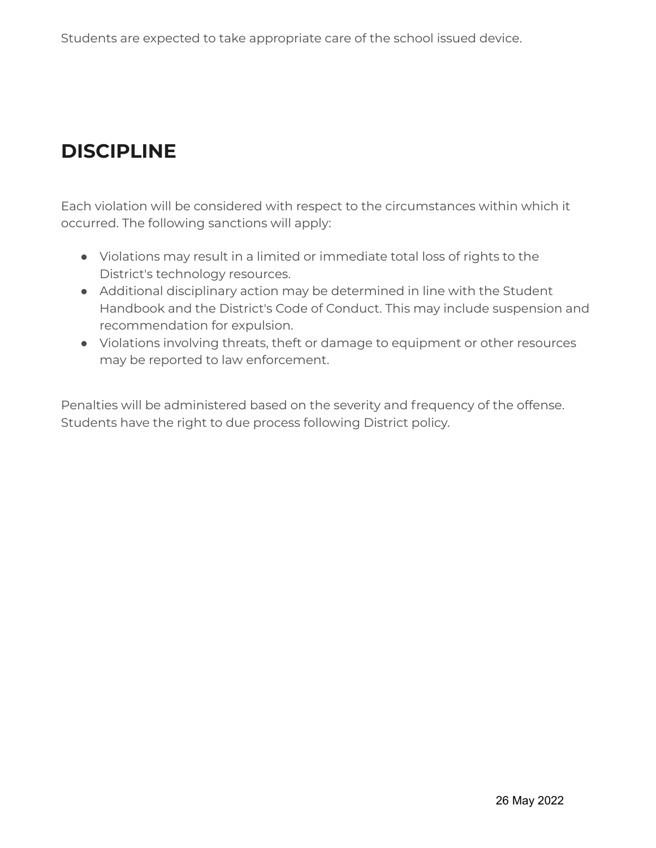## **DISCIPLINE**

Each violation will be considered with respect to the circumstances within which it occurred. The following sanctions will apply:

- Violations may result in a limited or immediate total loss of rights to the District's technology resources.
- Additional disciplinary action may be determined in line with the Student Handbook and the District's Code of Conduct. This may include suspension and recommendation for expulsion.
- Violations involving threats, theft or damage to equipment or other resources may be reported to law enforcement.

Penalties will be administered based on the severity and frequency of the offense. Students have the right to due process following District policy.